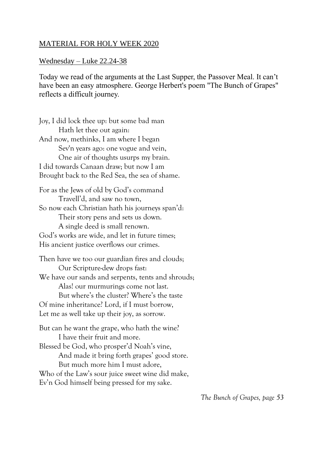## MATERIAL FOR HOLY WEEK 2020

## Wednesday – Luke 22.24-38

Today we read of the arguments at the Last Supper, the Passover Meal. It can't have been an easy atmosphere. George Herbert's poem "The Bunch of Grapes" reflects a difficult journey.

Joy, I did lock thee up: but some bad man Hath let thee out again: And now, methinks, I am where I began Sev'n years ago: one vogue and vein, One air of thoughts usurps my brain. I did towards Canaan draw; but now I am Brought back to the Red Sea, the sea of shame. For as the Jews of old by God's command Travell'd, and saw no town, So now each Christian hath his journeys span'd: Their story pens and sets us down. A single deed is small renown. God's works are wide, and let in future times; His ancient justice overflows our crimes. Then have we too our guardian fires and clouds; Our Scripture-dew drops fast: We have our sands and serpents, tents and shrouds; Alas! our murmurings come not last. But where's the cluster? Where's the taste Of mine inheritance? Lord, if I must borrow, Let me as well take up their joy, as sorrow. But can he want the grape, who hath the wine? I have their fruit and more. Blessed be God, who prosper'd Noah's vine, And made it bring forth grapes' good store. But much more him I must adore, Who of the Law's sour juice sweet wine did make,

Ev'n God himself being pressed for my sake.

*The Bunch of Grapes, page 53*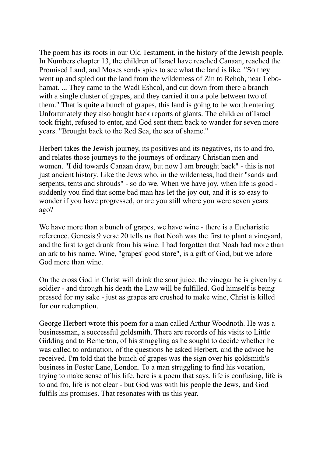The poem has its roots in our Old Testament, in the history of the Jewish people. In Numbers chapter 13, the children of Israel have reached Canaan, reached the Promised Land, and Moses sends spies to see what the land is like. "So they went up and spied out the land from the wilderness of Zin to Rehob, near Lebohamat. ... They came to the Wadi Eshcol, and cut down from there a branch with a single cluster of grapes, and they carried it on a pole between two of them." That is quite a bunch of grapes, this land is going to be worth entering. Unfortunately they also bought back reports of giants. The children of Israel took fright, refused to enter, and God sent them back to wander for seven more years. "Brought back to the Red Sea, the sea of shame."

Herbert takes the Jewish journey, its positives and its negatives, its to and fro, and relates those journeys to the journeys of ordinary Christian men and women. "I did towards Canaan draw, but now I am brought back" - this is not just ancient history. Like the Jews who, in the wilderness, had their "sands and serpents, tents and shrouds" - so do we. When we have joy, when life is good suddenly you find that some bad man has let the joy out, and it is so easy to wonder if you have progressed, or are you still where you were seven years ago?

We have more than a bunch of grapes, we have wine - there is a Eucharistic reference. Genesis 9 verse 20 tells us that Noah was the first to plant a vineyard, and the first to get drunk from his wine. I had forgotten that Noah had more than an ark to his name. Wine, "grapes' good store", is a gift of God, but we adore God more than wine.

On the cross God in Christ will drink the sour juice, the vinegar he is given by a soldier - and through his death the Law will be fulfilled. God himself is being pressed for my sake - just as grapes are crushed to make wine, Christ is killed for our redemption.

George Herbert wrote this poem for a man called Arthur Woodnoth. He was a businessman, a successful goldsmith. There are records of his visits to Little Gidding and to Bemerton, of his struggling as he sought to decide whether he was called to ordination, of the questions he asked Herbert, and the advice he received. I'm told that the bunch of grapes was the sign over his goldsmith's business in Foster Lane, London. To a man struggling to find his vocation, trying to make sense of his life, here is a poem that says, life is confusing, life is to and fro, life is not clear - but God was with his people the Jews, and God fulfils his promises. That resonates with us this year.